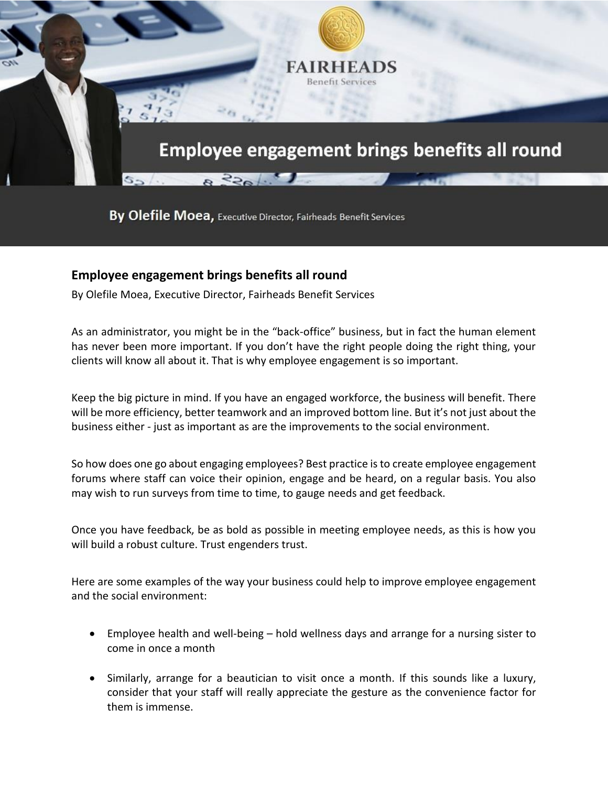

By Olefile Moea, Executive Director, Fairheads Benefit Services

## **Employee engagement brings benefits all round**

By Olefile Moea, Executive Director, Fairheads Benefit Services

As an administrator, you might be in the "back-office" business, but in fact the human element has never been more important. If you don't have the right people doing the right thing, your clients will know all about it. That is why employee engagement is so important.

Keep the big picture in mind. If you have an engaged workforce, the business will benefit. There will be more efficiency, better teamwork and an improved bottom line. But it's not just about the business either - just as important as are the improvements to the social environment.

So how does one go about engaging employees? Best practice isto create employee engagement forums where staff can voice their opinion, engage and be heard, on a regular basis. You also may wish to run surveys from time to time, to gauge needs and get feedback.

Once you have feedback, be as bold as possible in meeting employee needs, as this is how you will build a robust culture. Trust engenders trust.

Here are some examples of the way your business could help to improve employee engagement and the social environment:

- Employee health and well-being hold wellness days and arrange for a nursing sister to come in once a month
- Similarly, arrange for a beautician to visit once a month. If this sounds like a luxury, consider that your staff will really appreciate the gesture as the convenience factor for them is immense.